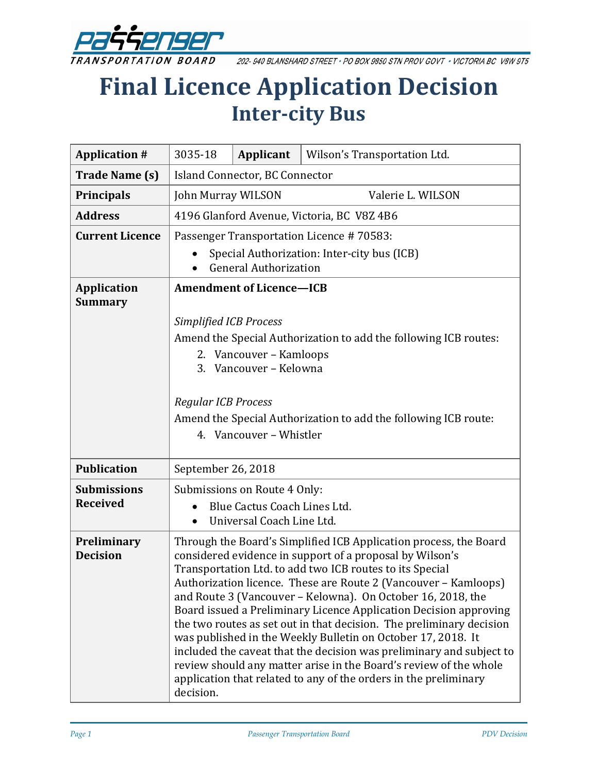

202-940 BLANSHARD STREET . PO BOX 9850 STN PROV GOVT . VICTORIA BC V8W 9T5

# **Final Licence Application Decision Inter-city Bus**

| <b>Application #</b>                  | 3035-18                                                                                                                                                                                                                                                                                                                                                                                                                                                                                                                                                                                                                                                                                                                                                                | Applicant | Wilson's Transportation Ltd. |
|---------------------------------------|------------------------------------------------------------------------------------------------------------------------------------------------------------------------------------------------------------------------------------------------------------------------------------------------------------------------------------------------------------------------------------------------------------------------------------------------------------------------------------------------------------------------------------------------------------------------------------------------------------------------------------------------------------------------------------------------------------------------------------------------------------------------|-----------|------------------------------|
| <b>Trade Name (s)</b>                 | <b>Island Connector, BC Connector</b>                                                                                                                                                                                                                                                                                                                                                                                                                                                                                                                                                                                                                                                                                                                                  |           |                              |
| <b>Principals</b>                     | Valerie L. WILSON<br>John Murray WILSON                                                                                                                                                                                                                                                                                                                                                                                                                                                                                                                                                                                                                                                                                                                                |           |                              |
| <b>Address</b>                        | 4196 Glanford Avenue, Victoria, BC V8Z 4B6                                                                                                                                                                                                                                                                                                                                                                                                                                                                                                                                                                                                                                                                                                                             |           |                              |
| <b>Current Licence</b>                | Passenger Transportation Licence #70583:                                                                                                                                                                                                                                                                                                                                                                                                                                                                                                                                                                                                                                                                                                                               |           |                              |
|                                       | Special Authorization: Inter-city bus (ICB)<br><b>General Authorization</b>                                                                                                                                                                                                                                                                                                                                                                                                                                                                                                                                                                                                                                                                                            |           |                              |
| <b>Application</b><br><b>Summary</b>  | <b>Amendment of Licence-ICB</b><br><b>Simplified ICB Process</b><br>Amend the Special Authorization to add the following ICB routes:<br>2. Vancouver - Kamloops<br>Vancouver - Kelowna<br>3.                                                                                                                                                                                                                                                                                                                                                                                                                                                                                                                                                                           |           |                              |
|                                       | <b>Regular ICB Process</b><br>Amend the Special Authorization to add the following ICB route:<br>4. Vancouver - Whistler                                                                                                                                                                                                                                                                                                                                                                                                                                                                                                                                                                                                                                               |           |                              |
| <b>Publication</b>                    | September 26, 2018                                                                                                                                                                                                                                                                                                                                                                                                                                                                                                                                                                                                                                                                                                                                                     |           |                              |
| <b>Submissions</b><br><b>Received</b> | Submissions on Route 4 Only:<br>Blue Cactus Coach Lines Ltd.<br>Universal Coach Line Ltd.                                                                                                                                                                                                                                                                                                                                                                                                                                                                                                                                                                                                                                                                              |           |                              |
| Preliminary<br><b>Decision</b>        | Through the Board's Simplified ICB Application process, the Board<br>considered evidence in support of a proposal by Wilson's<br>Transportation Ltd. to add two ICB routes to its Special<br>Authorization licence. These are Route 2 (Vancouver - Kamloops)<br>and Route 3 (Vancouver - Kelowna). On October 16, 2018, the<br>Board issued a Preliminary Licence Application Decision approving<br>the two routes as set out in that decision. The preliminary decision<br>was published in the Weekly Bulletin on October 17, 2018. It<br>included the caveat that the decision was preliminary and subject to<br>review should any matter arise in the Board's review of the whole<br>application that related to any of the orders in the preliminary<br>decision. |           |                              |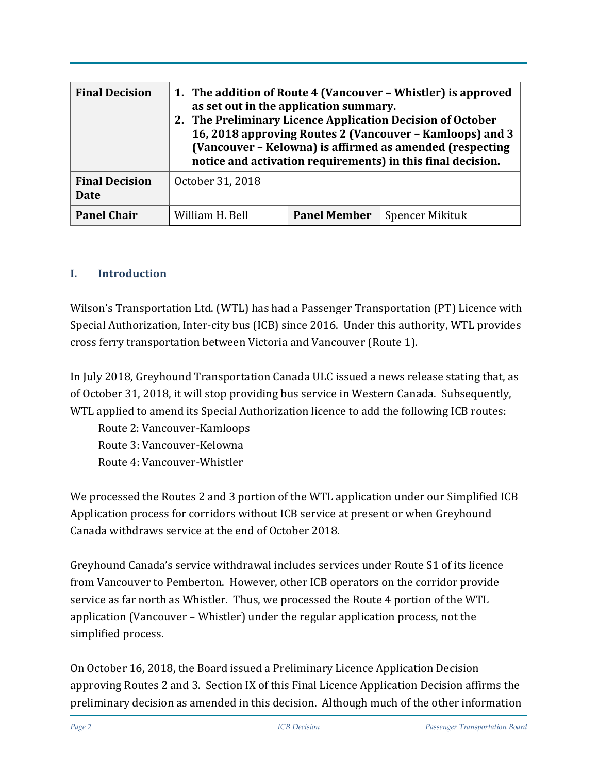| <b>Final Decision</b>                | 1. The addition of Route 4 (Vancouver - Whistler) is approved<br>as set out in the application summary.<br>2. The Preliminary Licence Application Decision of October<br>16, 2018 approving Routes 2 (Vancouver - Kamloops) and 3<br>(Vancouver - Kelowna) is affirmed as amended (respecting<br>notice and activation requirements) in this final decision. |                     |                        |
|--------------------------------------|--------------------------------------------------------------------------------------------------------------------------------------------------------------------------------------------------------------------------------------------------------------------------------------------------------------------------------------------------------------|---------------------|------------------------|
| <b>Final Decision</b><br><b>Date</b> | October 31, 2018                                                                                                                                                                                                                                                                                                                                             |                     |                        |
| <b>Panel Chair</b>                   | William H. Bell                                                                                                                                                                                                                                                                                                                                              | <b>Panel Member</b> | <b>Spencer Mikituk</b> |

#### **I. Introduction**

Wilson's Transportation Ltd. (WTL) has had a Passenger Transportation (PT) Licence with Special Authorization, Inter-city bus (ICB) since 2016. Under this authority, WTL provides cross ferry transportation between Victoria and Vancouver (Route 1).

In July 2018, Greyhound Transportation Canada ULC issued a news release stating that, as of October 31, 2018, it will stop providing bus service in Western Canada. Subsequently, WTL applied to amend its Special Authorization licence to add the following ICB routes:

Route 2: Vancouver-Kamloops Route 3: Vancouver-Kelowna Route 4: Vancouver-Whistler

We processed the Routes 2 and 3 portion of the WTL application under our Simplified ICB Application process for corridors without ICB service at present or when Greyhound Canada withdraws service at the end of October 2018.

Greyhound Canada's service withdrawal includes services under Route S1 of its licence from Vancouver to Pemberton. However, other ICB operators on the corridor provide service as far north as Whistler. Thus, we processed the Route 4 portion of the WTL application (Vancouver – Whistler) under the regular application process, not the simplified process.

On October 16, 2018, the Board issued a Preliminary Licence Application Decision approving Routes 2 and 3. Section IX of this Final Licence Application Decision affirms the preliminary decision as amended in this decision. Although much of the other information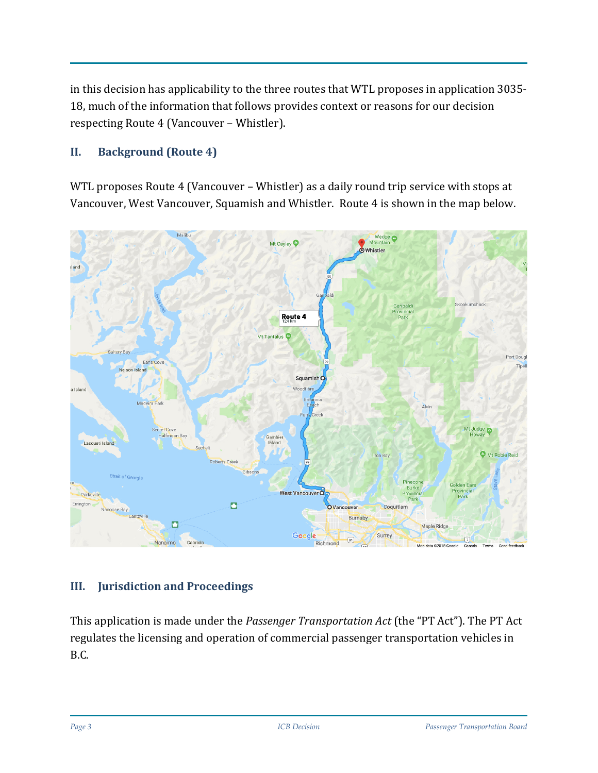in this decision has applicability to the three routes that WTL proposes in application 3035- 18, much of the information that follows provides context or reasons for our decision respecting Route 4 (Vancouver – Whistler).

#### **II. Background (Route 4)**

WTL proposes Route 4 (Vancouver – Whistler) as a daily round trip service with stops at Vancouver, West Vancouver, Squamish and Whistler. Route 4 is shown in the map below.



#### **III. Jurisdiction and Proceedings**

This application is made under the *Passenger Transportation Act* (the "PT Act"). The PT Act regulates the licensing and operation of commercial passenger transportation vehicles in B.C.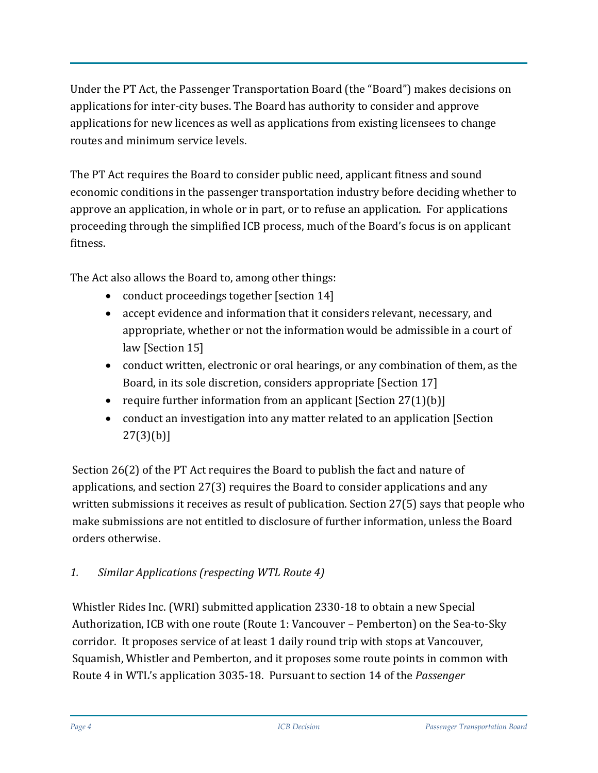Under the PT Act, the Passenger Transportation Board (the "Board") makes decisions on applications for inter-city buses. The Board has authority to consider and approve applications for new licences as well as applications from existing licensees to change routes and minimum service levels.

The PT Act requires the Board to consider public need, applicant fitness and sound economic conditions in the passenger transportation industry before deciding whether to approve an application, in whole or in part, or to refuse an application. For applications proceeding through the simplified ICB process, much of the Board's focus is on applicant fitness.

The Act also allows the Board to, among other things:

- conduct proceedings together [section 14]
- accept evidence and information that it considers relevant, necessary, and appropriate, whether or not the information would be admissible in a court of law [Section 15]
- conduct written, electronic or oral hearings, or any combination of them, as the Board, in its sole discretion, considers appropriate [Section 17]
- require further information from an applicant  $[Section 27(1)(b)]$
- conduct an investigation into any matter related to an application [Section] 27(3)(b)]

Section 26(2) of the PT Act requires the Board to publish the fact and nature of applications, and section 27(3) requires the Board to consider applications and any written submissions it receives as result of publication. Section 27(5) says that people who make submissions are not entitled to disclosure of further information, unless the Board orders otherwise.

# *1. Similar Applications (respecting WTL Route 4)*

Whistler Rides Inc. (WRI) submitted application 2330-18 to obtain a new Special Authorization, ICB with one route (Route 1: Vancouver – Pemberton) on the Sea-to-Sky corridor. It proposes service of at least 1 daily round trip with stops at Vancouver, Squamish, Whistler and Pemberton, and it proposes some route points in common with Route 4 in WTL's application 3035-18. Pursuant to section 14 of the *Passenger*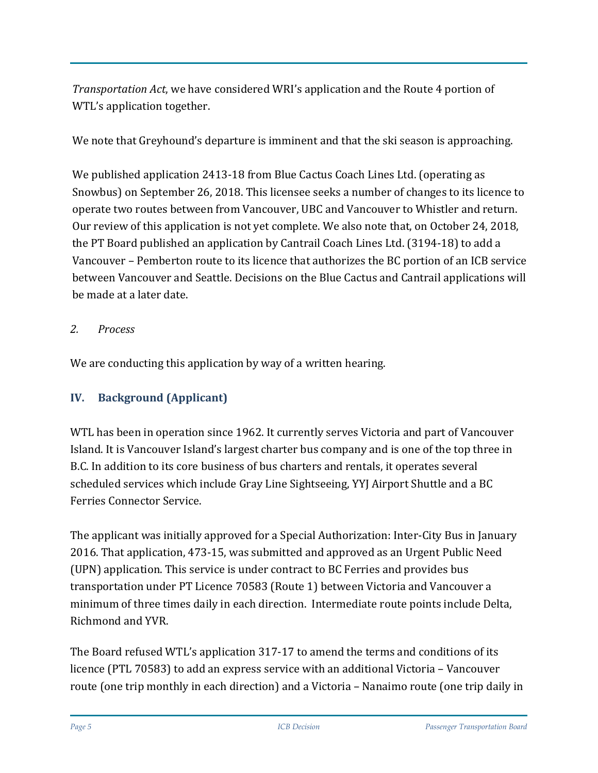*Transportation Act*, we have considered WRI's application and the Route 4 portion of WTL's application together.

We note that Greyhound's departure is imminent and that the ski season is approaching.

We published application 2413-18 from Blue Cactus Coach Lines Ltd. (operating as Snowbus) on September 26, 2018. This licensee seeks a number of changes to its licence to operate two routes between from Vancouver, UBC and Vancouver to Whistler and return. Our review of this application is not yet complete. We also note that, on October 24, 2018, the PT Board published an application by Cantrail Coach Lines Ltd. (3194-18) to add a Vancouver – Pemberton route to its licence that authorizes the BC portion of an ICB service between Vancouver and Seattle. Decisions on the Blue Cactus and Cantrail applications will be made at a later date.

## *2. Process*

We are conducting this application by way of a written hearing.

## **IV. Background (Applicant)**

WTL has been in operation since 1962. It currently serves Victoria and part of Vancouver Island. It is Vancouver Island's largest charter bus company and is one of the top three in B.C. In addition to its core business of bus charters and rentals, it operates several scheduled services which include Gray Line Sightseeing, YYJ Airport Shuttle and a BC Ferries Connector Service.

The applicant was initially approved for a Special Authorization: Inter-City Bus in January 2016. That application, 473-15, was submitted and approved as an Urgent Public Need (UPN) application. This service is under contract to BC Ferries and provides bus transportation under PT Licence 70583 (Route 1) between Victoria and Vancouver a minimum of three times daily in each direction. Intermediate route points include Delta, Richmond and YVR.

The Board refused WTL's application 317-17 to amend the terms and conditions of its licence (PTL 70583) to add an express service with an additional Victoria – Vancouver route (one trip monthly in each direction) and a Victoria – Nanaimo route (one trip daily in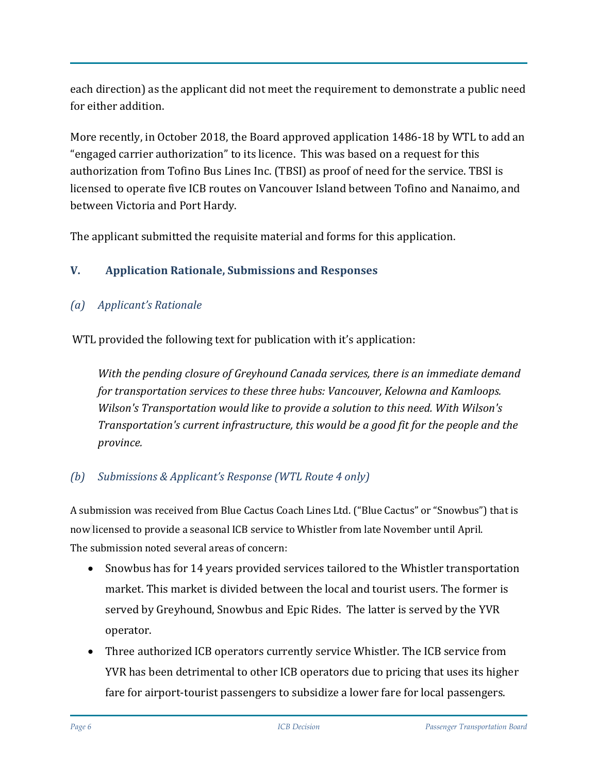each direction) as the applicant did not meet the requirement to demonstrate a public need for either addition.

More recently, in October 2018, the Board approved application 1486-18 by WTL to add an "engaged carrier authorization" to its licence. This was based on a request for this authorization from Tofino Bus Lines Inc. (TBSI) as proof of need for the service. TBSI is licensed to operate five ICB routes on Vancouver Island between Tofino and Nanaimo, and between Victoria and Port Hardy.

The applicant submitted the requisite material and forms for this application.

# **V. Application Rationale, Submissions and Responses**

# *(a) Applicant's Rationale*

WTL provided the following text for publication with it's application:

*With the pending closure of Greyhound Canada services, there is an immediate demand for transportation services to these three hubs: Vancouver, Kelowna and Kamloops. Wilson's Transportation would like to provide a solution to this need. With Wilson's Transportation's current infrastructure, this would be a good fit for the people and the province.*

# *(b) Submissions & Applicant's Response (WTL Route 4 only)*

A submission was received from Blue Cactus Coach Lines Ltd. ("Blue Cactus" or "Snowbus") that is now licensed to provide a seasonal ICB service to Whistler from late November until April. The submission noted several areas of concern:

- Snowbus has for 14 years provided services tailored to the Whistler transportation market. This market is divided between the local and tourist users. The former is served by Greyhound, Snowbus and Epic Rides. The latter is served by the YVR operator.
- Three authorized ICB operators currently service Whistler. The ICB service from YVR has been detrimental to other ICB operators due to pricing that uses its higher fare for airport-tourist passengers to subsidize a lower fare for local passengers.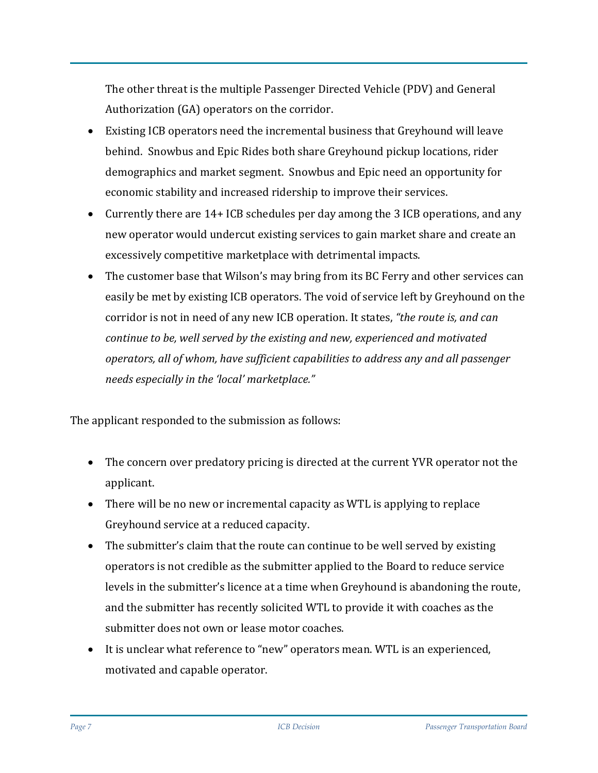The other threat is the multiple Passenger Directed Vehicle (PDV) and General Authorization (GA) operators on the corridor.

- Existing ICB operators need the incremental business that Greyhound will leave behind. Snowbus and Epic Rides both share Greyhound pickup locations, rider demographics and market segment. Snowbus and Epic need an opportunity for economic stability and increased ridership to improve their services.
- Currently there are 14+ ICB schedules per day among the 3 ICB operations, and any new operator would undercut existing services to gain market share and create an excessively competitive marketplace with detrimental impacts.
- The customer base that Wilson's may bring from its BC Ferry and other services can easily be met by existing ICB operators. The void of service left by Greyhound on the corridor is not in need of any new ICB operation. It states, *"the route is, and can continue to be, well served by the existing and new, experienced and motivated operators, all of whom, have sufficient capabilities to address any and all passenger needs especially in the 'local' marketplace."*

The applicant responded to the submission as follows:

- The concern over predatory pricing is directed at the current YVR operator not the applicant.
- There will be no new or incremental capacity as WTL is applying to replace Greyhound service at a reduced capacity.
- The submitter's claim that the route can continue to be well served by existing operators is not credible as the submitter applied to the Board to reduce service levels in the submitter's licence at a time when Greyhound is abandoning the route, and the submitter has recently solicited WTL to provide it with coaches as the submitter does not own or lease motor coaches.
- It is unclear what reference to "new" operators mean. WTL is an experienced, motivated and capable operator.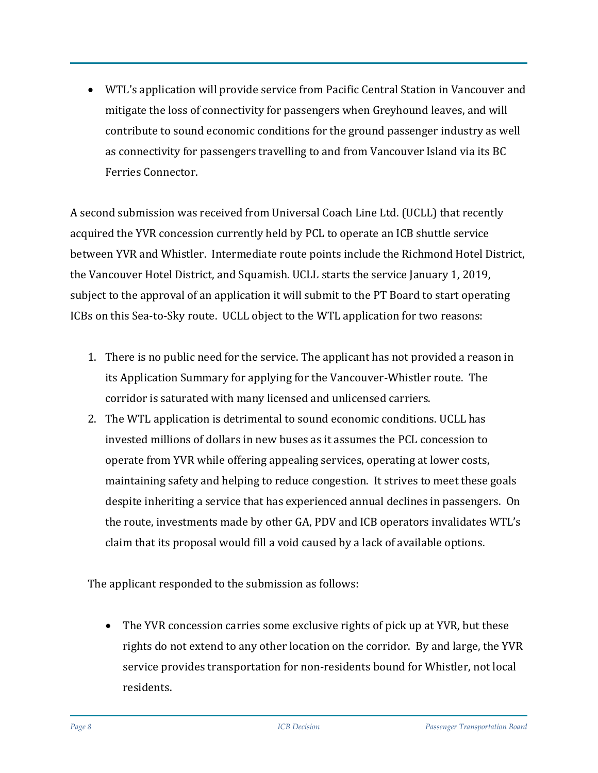• WTL's application will provide service from Pacific Central Station in Vancouver and mitigate the loss of connectivity for passengers when Greyhound leaves, and will contribute to sound economic conditions for the ground passenger industry as well as connectivity for passengers travelling to and from Vancouver Island via its BC Ferries Connector.

A second submission was received from Universal Coach Line Ltd. (UCLL) that recently acquired the YVR concession currently held by PCL to operate an ICB shuttle service between YVR and Whistler. Intermediate route points include the Richmond Hotel District, the Vancouver Hotel District, and Squamish. UCLL starts the service January 1, 2019, subject to the approval of an application it will submit to the PT Board to start operating ICBs on this Sea-to-Sky route. UCLL object to the WTL application for two reasons:

- 1. There is no public need for the service. The applicant has not provided a reason in its Application Summary for applying for the Vancouver-Whistler route. The corridor is saturated with many licensed and unlicensed carriers.
- 2. The WTL application is detrimental to sound economic conditions. UCLL has invested millions of dollars in new buses as it assumes the PCL concession to operate from YVR while offering appealing services, operating at lower costs, maintaining safety and helping to reduce congestion. It strives to meet these goals despite inheriting a service that has experienced annual declines in passengers. On the route, investments made by other GA, PDV and ICB operators invalidates WTL's claim that its proposal would fill a void caused by a lack of available options.

The applicant responded to the submission as follows:

• The YVR concession carries some exclusive rights of pick up at YVR, but these rights do not extend to any other location on the corridor. By and large, the YVR service provides transportation for non-residents bound for Whistler, not local residents.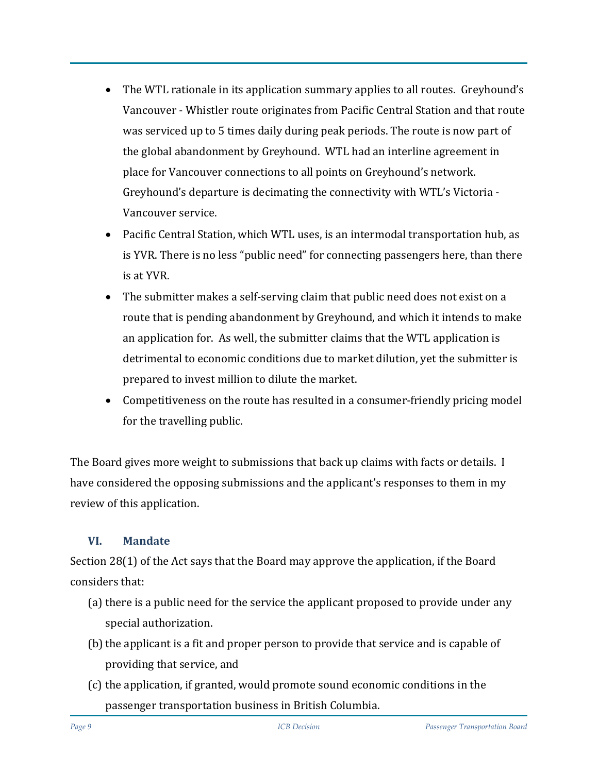- The WTL rationale in its application summary applies to all routes. Greyhound's Vancouver - Whistler route originates from Pacific Central Station and that route was serviced up to 5 times daily during peak periods. The route is now part of the global abandonment by Greyhound. WTL had an interline agreement in place for Vancouver connections to all points on Greyhound's network. Greyhound's departure is decimating the connectivity with WTL's Victoria - Vancouver service.
- Pacific Central Station, which WTL uses, is an intermodal transportation hub, as is YVR. There is no less "public need" for connecting passengers here, than there is at YVR.
- The submitter makes a self-serving claim that public need does not exist on a route that is pending abandonment by Greyhound, and which it intends to make an application for. As well, the submitter claims that the WTL application is detrimental to economic conditions due to market dilution, yet the submitter is prepared to invest million to dilute the market.
- Competitiveness on the route has resulted in a consumer-friendly pricing model for the travelling public.

The Board gives more weight to submissions that back up claims with facts or details. I have considered the opposing submissions and the applicant's responses to them in my review of this application.

#### **VI. Mandate**

Section 28(1) of the Act says that the Board may approve the application, if the Board considers that:

- (a) there is a public need for the service the applicant proposed to provide under any special authorization.
- (b) the applicant is a fit and proper person to provide that service and is capable of providing that service, and
- (c) the application, if granted, would promote sound economic conditions in the passenger transportation business in British Columbia.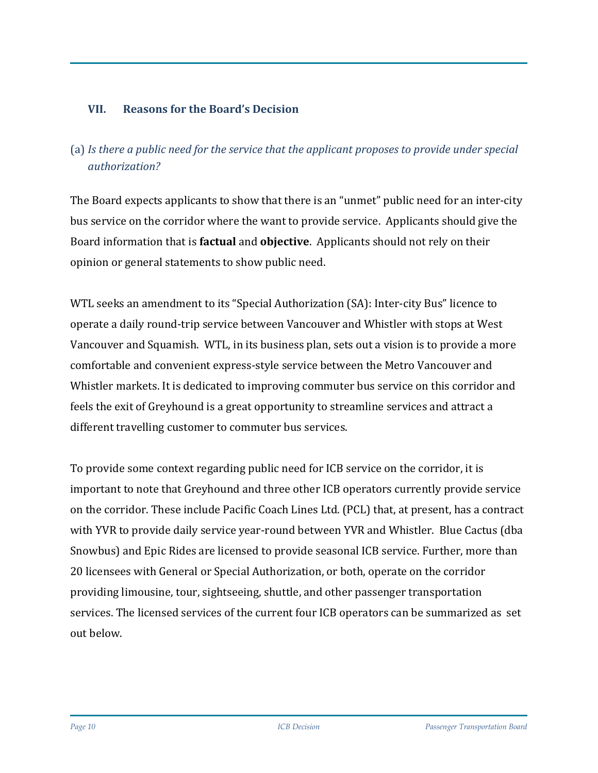## **VII. Reasons for the Board's Decision**

# (a) *Is there a public need for the service that the applicant proposes to provide under special authorization?*

The Board expects applicants to show that there is an "unmet" public need for an inter-city bus service on the corridor where the want to provide service. Applicants should give the Board information that is **factual** and **objective**. Applicants should not rely on their opinion or general statements to show public need.

WTL seeks an amendment to its "Special Authorization (SA): Inter-city Bus" licence to operate a daily round-trip service between Vancouver and Whistler with stops at West Vancouver and Squamish. WTL, in its business plan, sets out a vision is to provide a more comfortable and convenient express-style service between the Metro Vancouver and Whistler markets. It is dedicated to improving commuter bus service on this corridor and feels the exit of Greyhound is a great opportunity to streamline services and attract a different travelling customer to commuter bus services.

To provide some context regarding public need for ICB service on the corridor, it is important to note that Greyhound and three other ICB operators currently provide service on the corridor. These include Pacific Coach Lines Ltd. (PCL) that, at present, has a contract with YVR to provide daily service year-round between YVR and Whistler. Blue Cactus (dba Snowbus) and Epic Rides are licensed to provide seasonal ICB service. Further, more than 20 licensees with General or Special Authorization, or both, operate on the corridor providing limousine, tour, sightseeing, shuttle, and other passenger transportation services. The licensed services of the current four ICB operators can be summarized as set out below.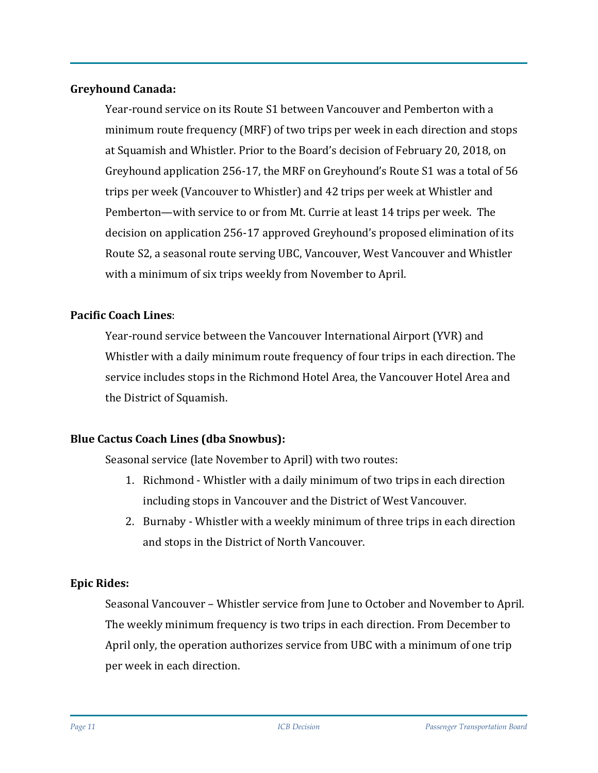#### **Greyhound Canada:**

Year-round service on its Route S1 between Vancouver and Pemberton with a minimum route frequency (MRF) of two trips per week in each direction and stops at Squamish and Whistler. Prior to the Board's decision of February 20, 2018, on Greyhound application 256-17, the MRF on Greyhound's Route S1 was a total of 56 trips per week (Vancouver to Whistler) and 42 trips per week at Whistler and Pemberton—with service to or from Mt. Currie at least 14 trips per week. The decision on application 256-17 approved Greyhound's proposed elimination of its Route S2, a seasonal route serving UBC, Vancouver, West Vancouver and Whistler with a minimum of six trips weekly from November to April.

#### **Pacific Coach Lines**:

Year-round service between the Vancouver International Airport (YVR) and Whistler with a daily minimum route frequency of four trips in each direction. The service includes stops in the Richmond Hotel Area, the Vancouver Hotel Area and the District of Squamish.

#### **Blue Cactus Coach Lines (dba Snowbus):**

Seasonal service (late November to April) with two routes:

- 1. Richmond Whistler with a daily minimum of two trips in each direction including stops in Vancouver and the District of West Vancouver.
- 2. Burnaby Whistler with a weekly minimum of three trips in each direction and stops in the District of North Vancouver.

#### **Epic Rides:**

Seasonal Vancouver – Whistler service from June to October and November to April. The weekly minimum frequency is two trips in each direction. From December to April only, the operation authorizes service from UBC with a minimum of one trip per week in each direction.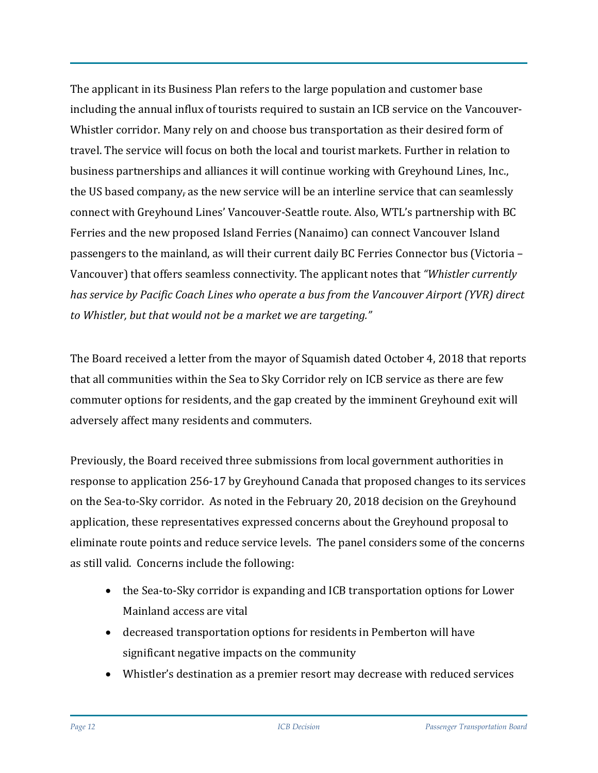The applicant in its Business Plan refers to the large population and customer base including the annual influx of tourists required to sustain an ICB service on the Vancouver-Whistler corridor. Many rely on and choose bus transportation as their desired form of travel. The service will focus on both the local and tourist markets. Further in relation to business partnerships and alliances it will continue working with Greyhound Lines, Inc., the US based company, as the new service will be an interline service that can seamlessly connect with Greyhound Lines' Vancouver-Seattle route. Also, WTL's partnership with BC Ferries and the new proposed Island Ferries (Nanaimo) can connect Vancouver Island passengers to the mainland, as will their current daily BC Ferries Connector bus (Victoria – Vancouver) that offers seamless connectivity. The applicant notes that *"Whistler currently has service by Pacific Coach Lines who operate a bus from the Vancouver Airport (YVR) direct to Whistler, but that would not be a market we are targeting."*

The Board received a letter from the mayor of Squamish dated October 4, 2018 that reports that all communities within the Sea to Sky Corridor rely on ICB service as there are few commuter options for residents, and the gap created by the imminent Greyhound exit will adversely affect many residents and commuters.

Previously, the Board received three submissions from local government authorities in response to application 256-17 by Greyhound Canada that proposed changes to its services on the Sea-to-Sky corridor. As noted in the February 20, 2018 decision on the Greyhound application, these representatives expressed concerns about the Greyhound proposal to eliminate route points and reduce service levels. The panel considers some of the concerns as still valid. Concerns include the following:

- the Sea-to-Sky corridor is expanding and ICB transportation options for Lower Mainland access are vital
- decreased transportation options for residents in Pemberton will have significant negative impacts on the community
- Whistler's destination as a premier resort may decrease with reduced services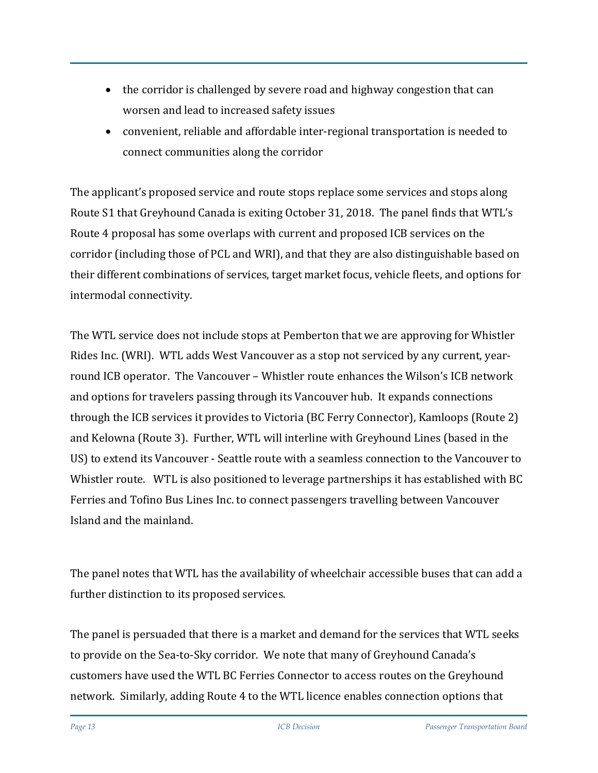- the corridor is challenged by severe road and highway congestion that can worsen and lead to increased safety issues
- convenient, reliable and affordable inter-regional transportation is needed to connect communities along the corridor

The applicant's proposed service and route stops replace some services and stops along Route S1 that Greyhound Canada is exiting October 31, 2018. The panel finds that WTL's Route 4 proposal has some overlaps with current and proposed ICB services on the corridor (including those of PCL and WRI), and that they are also distinguishable based on their different combinations of services, target market focus, vehicle fleets, and options for intermodal connectivity.

The WTL service does not include stops at Pemberton that we are approving for Whistler Rides Inc. (WRI). WTL adds West Vancouver as a stop not serviced by any current, yearround ICB operator. The Vancouver – Whistler route enhances the Wilson's ICB network and options for travelers passing through its Vancouver hub. It expands connections through the ICB services it provides to Victoria (BC Ferry Connector), Kamloops (Route 2) and Kelowna (Route 3). Further, WTL will interline with Greyhound Lines (based in the US) to extend its Vancouver - Seattle route with a seamless connection to the Vancouver to Whistler route. WTL is also positioned to leverage partnerships it has established with BC Ferries and Tofino Bus Lines Inc. to connect passengers travelling between Vancouver Island and the mainland.

The panel notes that WTL has the availability of wheelchair accessible buses that can add a further distinction to its proposed services.

The panel is persuaded that there is a market and demand for the services that WTL seeks to provide on the Sea-to-Sky corridor. We note that many of Greyhound Canada's customers have used the WTL BC Ferries Connector to access routes on the Greyhound network. Similarly, adding Route 4 to the WTL licence enables connection options that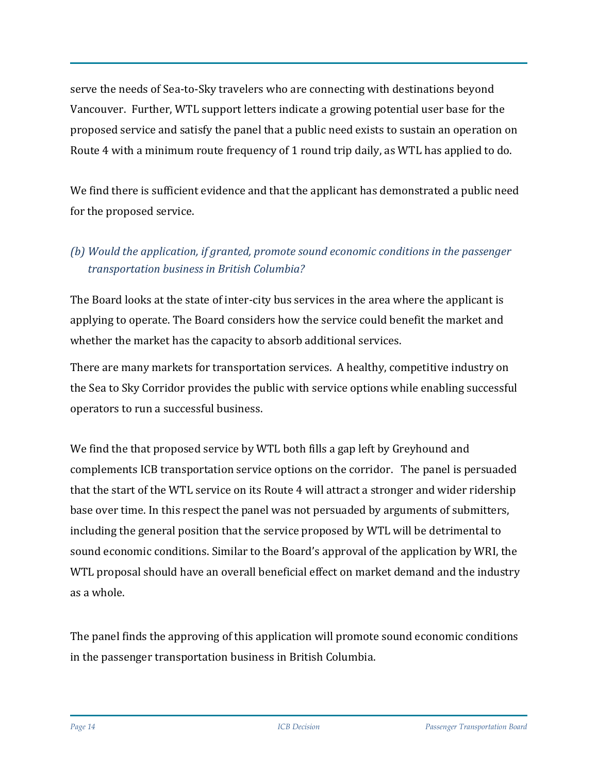serve the needs of Sea-to-Sky travelers who are connecting with destinations beyond Vancouver. Further, WTL support letters indicate a growing potential user base for the proposed service and satisfy the panel that a public need exists to sustain an operation on Route 4 with a minimum route frequency of 1 round trip daily, as WTL has applied to do.

We find there is sufficient evidence and that the applicant has demonstrated a public need for the proposed service.

# *(b) Would the application, if granted, promote sound economic conditions in the passenger transportation business in British Columbia?*

The Board looks at the state of inter-city bus services in the area where the applicant is applying to operate. The Board considers how the service could benefit the market and whether the market has the capacity to absorb additional services.

There are many markets for transportation services. A healthy, competitive industry on the Sea to Sky Corridor provides the public with service options while enabling successful operators to run a successful business.

We find the that proposed service by WTL both fills a gap left by Greyhound and complements ICB transportation service options on the corridor. The panel is persuaded that the start of the WTL service on its Route 4 will attract a stronger and wider ridership base over time. In this respect the panel was not persuaded by arguments of submitters, including the general position that the service proposed by WTL will be detrimental to sound economic conditions. Similar to the Board's approval of the application by WRI, the WTL proposal should have an overall beneficial effect on market demand and the industry as a whole.

The panel finds the approving of this application will promote sound economic conditions in the passenger transportation business in British Columbia.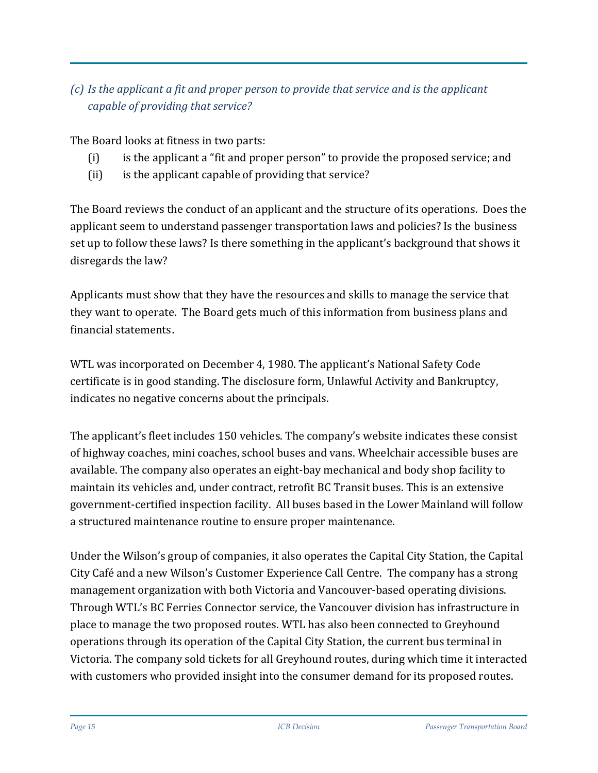# *(c) Is the applicant a fit and proper person to provide that service and is the applicant capable of providing that service?*

The Board looks at fitness in two parts:

- (i) is the applicant a "fit and proper person" to provide the proposed service; and
- (ii) is the applicant capable of providing that service?

The Board reviews the conduct of an applicant and the structure of its operations. Does the applicant seem to understand passenger transportation laws and policies? Is the business set up to follow these laws? Is there something in the applicant's background that shows it disregards the law?

Applicants must show that they have the resources and skills to manage the service that they want to operate. The Board gets much of this information from business plans and financial statements.

WTL was incorporated on December 4, 1980. The applicant's National Safety Code certificate is in good standing. The disclosure form, Unlawful Activity and Bankruptcy, indicates no negative concerns about the principals.

The applicant's fleet includes 150 vehicles. The company's website indicates these consist of highway coaches, mini coaches, school buses and vans. Wheelchair accessible buses are available. The company also operates an eight-bay mechanical and body shop facility to maintain its vehicles and, under contract, retrofit BC Transit buses. This is an extensive government-certified inspection facility. All buses based in the Lower Mainland will follow a structured maintenance routine to ensure proper maintenance.

Under the Wilson's group of companies, it also operates the Capital City Station, the Capital City Café and a new Wilson's Customer Experience Call Centre. The company has a strong management organization with both Victoria and Vancouver-based operating divisions. Through WTL's BC Ferries Connector service, the Vancouver division has infrastructure in place to manage the two proposed routes. WTL has also been connected to Greyhound operations through its operation of the Capital City Station, the current bus terminal in Victoria. The company sold tickets for all Greyhound routes, during which time it interacted with customers who provided insight into the consumer demand for its proposed routes.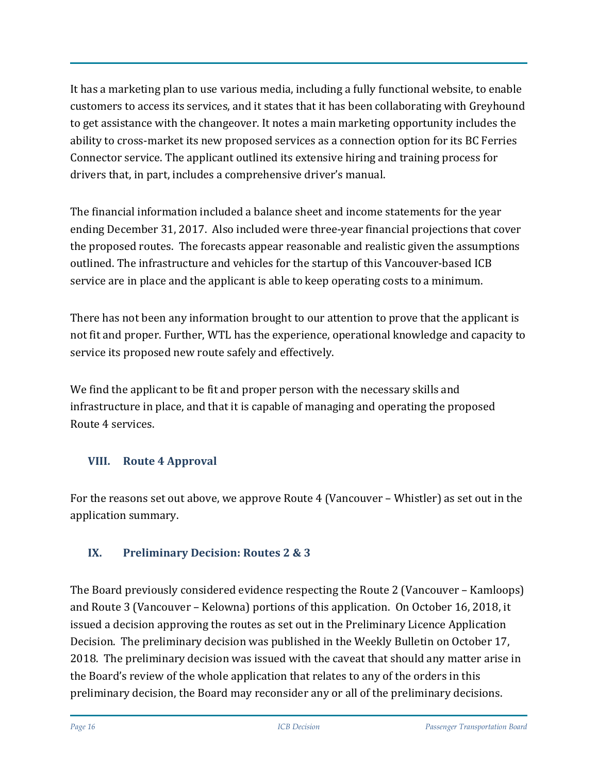It has a marketing plan to use various media, including a fully functional website, to enable customers to access its services, and it states that it has been collaborating with Greyhound to get assistance with the changeover. It notes a main marketing opportunity includes the ability to cross-market its new proposed services as a connection option for its BC Ferries Connector service. The applicant outlined its extensive hiring and training process for drivers that, in part, includes a comprehensive driver's manual.

The financial information included a balance sheet and income statements for the year ending December 31, 2017. Also included were three-year financial projections that cover the proposed routes. The forecasts appear reasonable and realistic given the assumptions outlined. The infrastructure and vehicles for the startup of this Vancouver-based ICB service are in place and the applicant is able to keep operating costs to a minimum.

There has not been any information brought to our attention to prove that the applicant is not fit and proper. Further, WTL has the experience, operational knowledge and capacity to service its proposed new route safely and effectively.

We find the applicant to be fit and proper person with the necessary skills and infrastructure in place, and that it is capable of managing and operating the proposed Route 4 services.

## **VIII. Route 4 Approval**

For the reasons set out above, we approve Route 4 (Vancouver – Whistler) as set out in the application summary.

## **IX. Preliminary Decision: Routes 2 & 3**

The Board previously considered evidence respecting the Route 2 (Vancouver – Kamloops) and Route 3 (Vancouver – Kelowna) portions of this application. On October 16, 2018, it issued a decision approving the routes as set out in the Preliminary Licence Application Decision. The preliminary decision was published in the Weekly Bulletin on October 17, 2018. The preliminary decision was issued with the caveat that should any matter arise in the Board's review of the whole application that relates to any of the orders in this preliminary decision, the Board may reconsider any or all of the preliminary decisions.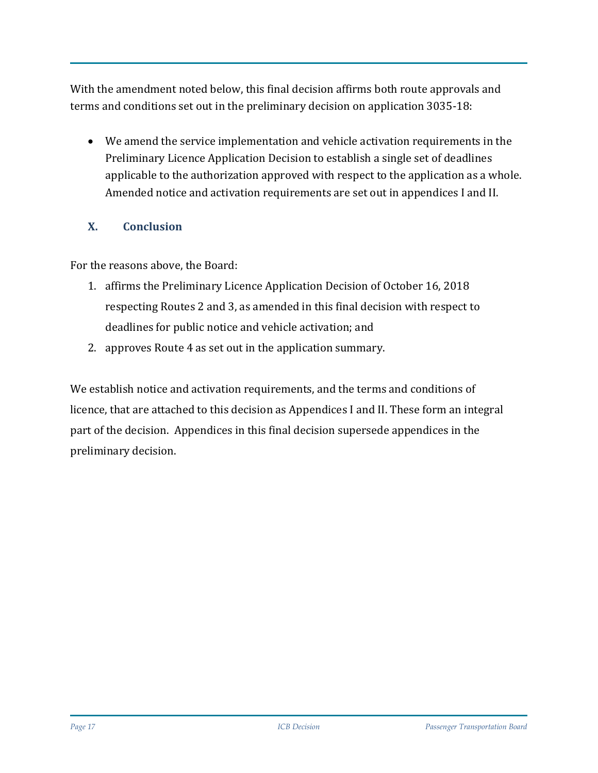With the amendment noted below, this final decision affirms both route approvals and terms and conditions set out in the preliminary decision on application 3035-18:

• We amend the service implementation and vehicle activation requirements in the Preliminary Licence Application Decision to establish a single set of deadlines applicable to the authorization approved with respect to the application as a whole. Amended notice and activation requirements are set out in appendices I and II.

## **X. Conclusion**

For the reasons above, the Board:

- 1. affirms the Preliminary Licence Application Decision of October 16, 2018 respecting Routes 2 and 3, as amended in this final decision with respect to deadlines for public notice and vehicle activation; and
- 2. approves Route 4 as set out in the application summary.

We establish notice and activation requirements, and the terms and conditions of licence, that are attached to this decision as Appendices I and II. These form an integral part of the decision. Appendices in this final decision supersede appendices in the preliminary decision.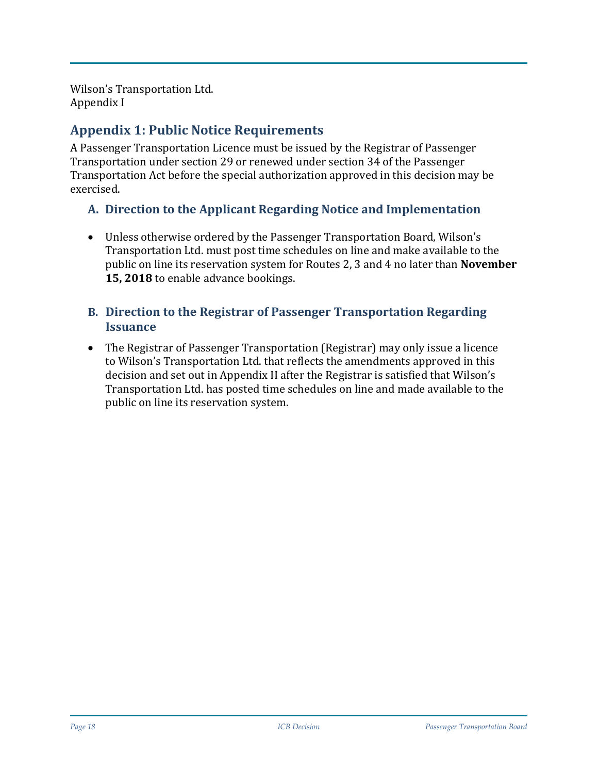Wilson's Transportation Ltd. Appendix I

# **Appendix 1: Public Notice Requirements**

A Passenger Transportation Licence must be issued by the Registrar of Passenger Transportation under section 29 or renewed under section 34 of the Passenger Transportation Act before the special authorization approved in this decision may be exercised.

## **A. Direction to the Applicant Regarding Notice and Implementation**

• Unless otherwise ordered by the Passenger Transportation Board, Wilson's Transportation Ltd. must post time schedules on line and make available to the public on line its reservation system for Routes 2, 3 and 4 no later than **November 15, 2018** to enable advance bookings.

#### **B. Direction to the Registrar of Passenger Transportation Regarding Issuance**

• The Registrar of Passenger Transportation (Registrar) may only issue a licence to Wilson's Transportation Ltd. that reflects the amendments approved in this decision and set out in Appendix II after the Registrar is satisfied that Wilson's Transportation Ltd. has posted time schedules on line and made available to the public on line its reservation system.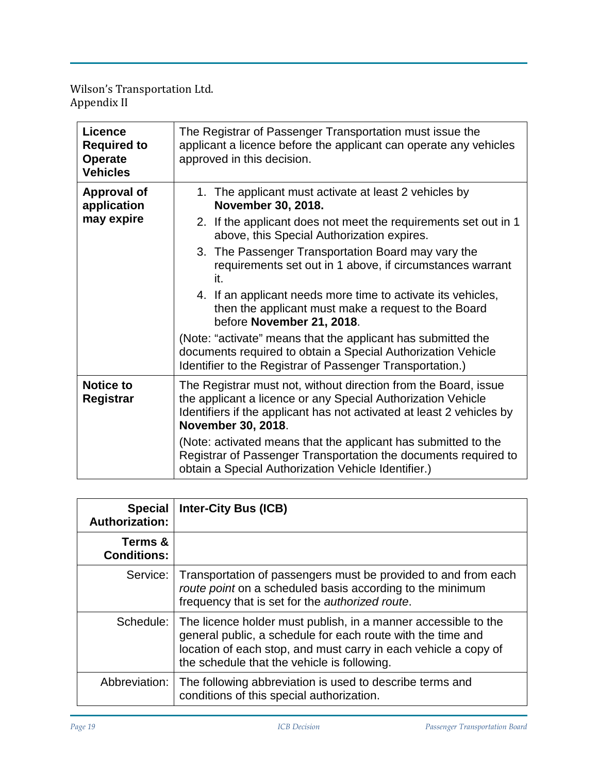Wilson's Transportation Ltd. Appendix II

| <b>Licence</b><br><b>Required to</b><br><b>Operate</b><br><b>Vehicles</b> | The Registrar of Passenger Transportation must issue the<br>applicant a licence before the applicant can operate any vehicles<br>approved in this decision.                                                                    |  |  |
|---------------------------------------------------------------------------|--------------------------------------------------------------------------------------------------------------------------------------------------------------------------------------------------------------------------------|--|--|
| <b>Approval of</b><br>application                                         | 1. The applicant must activate at least 2 vehicles by<br>November 30, 2018.                                                                                                                                                    |  |  |
| may expire                                                                | 2. If the applicant does not meet the requirements set out in 1<br>above, this Special Authorization expires.                                                                                                                  |  |  |
|                                                                           | 3. The Passenger Transportation Board may vary the<br>requirements set out in 1 above, if circumstances warrant<br>it.                                                                                                         |  |  |
|                                                                           | 4. If an applicant needs more time to activate its vehicles,<br>then the applicant must make a request to the Board<br>before November 21, 2018.                                                                               |  |  |
|                                                                           | (Note: "activate" means that the applicant has submitted the<br>documents required to obtain a Special Authorization Vehicle<br>Identifier to the Registrar of Passenger Transportation.)                                      |  |  |
| <b>Notice to</b><br>Registrar                                             | The Registrar must not, without direction from the Board, issue<br>the applicant a licence or any Special Authorization Vehicle<br>Identifiers if the applicant has not activated at least 2 vehicles by<br>November 30, 2018. |  |  |
|                                                                           | (Note: activated means that the applicant has submitted to the<br>Registrar of Passenger Transportation the documents required to<br>obtain a Special Authorization Vehicle Identifier.)                                       |  |  |

| <b>Special</b><br><b>Authorization:</b> | <b>Inter-City Bus (ICB)</b>                                                                                                                                                                                                                     |
|-----------------------------------------|-------------------------------------------------------------------------------------------------------------------------------------------------------------------------------------------------------------------------------------------------|
| Terms &<br><b>Conditions:</b>           |                                                                                                                                                                                                                                                 |
| Service:                                | Transportation of passengers must be provided to and from each<br>route point on a scheduled basis according to the minimum<br>frequency that is set for the <i>authorized route</i> .                                                          |
| Schedule:                               | The licence holder must publish, in a manner accessible to the<br>general public, a schedule for each route with the time and<br>location of each stop, and must carry in each vehicle a copy of<br>the schedule that the vehicle is following. |
| Abbreviation:                           | The following abbreviation is used to describe terms and<br>conditions of this special authorization.                                                                                                                                           |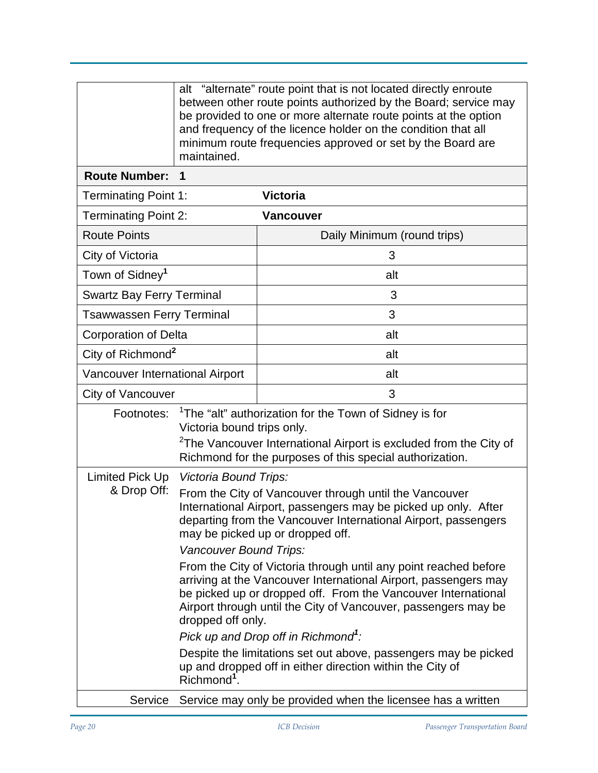|                                  | alt "alternate" route point that is not located directly enroute<br>between other route points authorized by the Board; service may<br>be provided to one or more alternate route points at the option<br>and frequency of the licence holder on the condition that all<br>minimum route frequencies approved or set by the Board are<br>maintained.                                                                                                                                                                                                                                                                                                                                                                                                                                           |                                                              |  |
|----------------------------------|------------------------------------------------------------------------------------------------------------------------------------------------------------------------------------------------------------------------------------------------------------------------------------------------------------------------------------------------------------------------------------------------------------------------------------------------------------------------------------------------------------------------------------------------------------------------------------------------------------------------------------------------------------------------------------------------------------------------------------------------------------------------------------------------|--------------------------------------------------------------|--|
| <b>Route Number:</b>             | $\blacktriangleleft$                                                                                                                                                                                                                                                                                                                                                                                                                                                                                                                                                                                                                                                                                                                                                                           |                                                              |  |
| <b>Terminating Point 1:</b>      |                                                                                                                                                                                                                                                                                                                                                                                                                                                                                                                                                                                                                                                                                                                                                                                                | <b>Victoria</b>                                              |  |
| <b>Terminating Point 2:</b>      |                                                                                                                                                                                                                                                                                                                                                                                                                                                                                                                                                                                                                                                                                                                                                                                                | <b>Vancouver</b>                                             |  |
| <b>Route Points</b>              |                                                                                                                                                                                                                                                                                                                                                                                                                                                                                                                                                                                                                                                                                                                                                                                                | Daily Minimum (round trips)                                  |  |
| City of Victoria                 |                                                                                                                                                                                                                                                                                                                                                                                                                                                                                                                                                                                                                                                                                                                                                                                                | 3                                                            |  |
| Town of Sidney <sup>1</sup>      |                                                                                                                                                                                                                                                                                                                                                                                                                                                                                                                                                                                                                                                                                                                                                                                                | alt                                                          |  |
| <b>Swartz Bay Ferry Terminal</b> |                                                                                                                                                                                                                                                                                                                                                                                                                                                                                                                                                                                                                                                                                                                                                                                                | 3                                                            |  |
| <b>Tsawwassen Ferry Terminal</b> |                                                                                                                                                                                                                                                                                                                                                                                                                                                                                                                                                                                                                                                                                                                                                                                                | 3                                                            |  |
| <b>Corporation of Delta</b>      |                                                                                                                                                                                                                                                                                                                                                                                                                                                                                                                                                                                                                                                                                                                                                                                                | alt                                                          |  |
| City of Richmond <sup>2</sup>    |                                                                                                                                                                                                                                                                                                                                                                                                                                                                                                                                                                                                                                                                                                                                                                                                | alt                                                          |  |
| Vancouver International Airport  |                                                                                                                                                                                                                                                                                                                                                                                                                                                                                                                                                                                                                                                                                                                                                                                                | alt                                                          |  |
| City of Vancouver                |                                                                                                                                                                                                                                                                                                                                                                                                                                                                                                                                                                                                                                                                                                                                                                                                | 3                                                            |  |
| Footnotes:                       | <sup>1</sup> The "alt" authorization for the Town of Sidney is for<br>Victoria bound trips only.<br><sup>2</sup> The Vancouver International Airport is excluded from the City of<br>Richmond for the purposes of this special authorization.                                                                                                                                                                                                                                                                                                                                                                                                                                                                                                                                                  |                                                              |  |
| Limited Pick Up<br>& Drop Off:   | Victoria Bound Trips:<br>From the City of Vancouver through until the Vancouver<br>International Airport, passengers may be picked up only. After<br>departing from the Vancouver International Airport, passengers<br>may be picked up or dropped off.<br>Vancouver Bound Trips:<br>From the City of Victoria through until any point reached before<br>arriving at the Vancouver International Airport, passengers may<br>be picked up or dropped off. From the Vancouver International<br>Airport through until the City of Vancouver, passengers may be<br>dropped off only.<br>Pick up and Drop off in Richmond <sup>1</sup> :<br>Despite the limitations set out above, passengers may be picked<br>up and dropped off in either direction within the City of<br>Richmond <sup>1</sup> . |                                                              |  |
| Service                          |                                                                                                                                                                                                                                                                                                                                                                                                                                                                                                                                                                                                                                                                                                                                                                                                | Service may only be provided when the licensee has a written |  |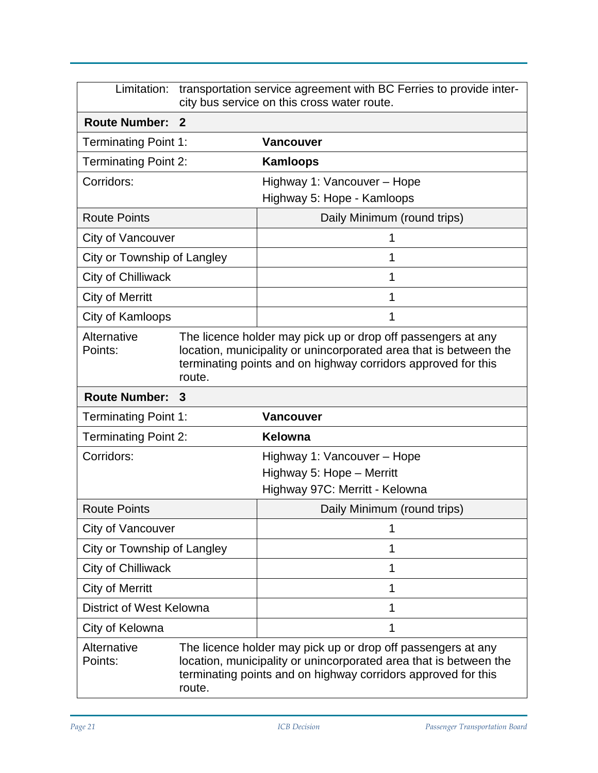| Limitation:                 | transportation service agreement with BC Ferries to provide inter-<br>city bus service on this cross water route.                                                                                            |                                                                                                                                                                                                    |  |
|-----------------------------|--------------------------------------------------------------------------------------------------------------------------------------------------------------------------------------------------------------|----------------------------------------------------------------------------------------------------------------------------------------------------------------------------------------------------|--|
| <b>Route Number:</b>        | $\mathbf 2$                                                                                                                                                                                                  |                                                                                                                                                                                                    |  |
| <b>Terminating Point 1:</b> |                                                                                                                                                                                                              | <b>Vancouver</b>                                                                                                                                                                                   |  |
| <b>Terminating Point 2:</b> |                                                                                                                                                                                                              | <b>Kamloops</b>                                                                                                                                                                                    |  |
| Corridors:                  |                                                                                                                                                                                                              | Highway 1: Vancouver - Hope                                                                                                                                                                        |  |
|                             |                                                                                                                                                                                                              | Highway 5: Hope - Kamloops                                                                                                                                                                         |  |
| <b>Route Points</b>         |                                                                                                                                                                                                              | Daily Minimum (round trips)                                                                                                                                                                        |  |
| City of Vancouver           |                                                                                                                                                                                                              | 1                                                                                                                                                                                                  |  |
| City or Township of Langley |                                                                                                                                                                                                              | 1                                                                                                                                                                                                  |  |
| City of Chilliwack          |                                                                                                                                                                                                              | 1                                                                                                                                                                                                  |  |
| <b>City of Merritt</b>      |                                                                                                                                                                                                              | 1                                                                                                                                                                                                  |  |
| City of Kamloops            |                                                                                                                                                                                                              | 1                                                                                                                                                                                                  |  |
| Alternative<br>Points:      | The licence holder may pick up or drop off passengers at any<br>location, municipality or unincorporated area that is between the<br>terminating points and on highway corridors approved for this<br>route. |                                                                                                                                                                                                    |  |
| <b>Route Number:</b>        | 3                                                                                                                                                                                                            |                                                                                                                                                                                                    |  |
| <b>Terminating Point 1:</b> |                                                                                                                                                                                                              | <b>Vancouver</b>                                                                                                                                                                                   |  |
| <b>Terminating Point 2:</b> |                                                                                                                                                                                                              | Kelowna                                                                                                                                                                                            |  |
| Corridors:                  |                                                                                                                                                                                                              | Highway 1: Vancouver – Hope                                                                                                                                                                        |  |
|                             |                                                                                                                                                                                                              | Highway 5: Hope - Merritt                                                                                                                                                                          |  |
|                             |                                                                                                                                                                                                              | Highway 97C: Merritt - Kelowna                                                                                                                                                                     |  |
| <b>Route Points</b>         |                                                                                                                                                                                                              | Daily Minimum (round trips)                                                                                                                                                                        |  |
| City of Vancouver           |                                                                                                                                                                                                              | 1                                                                                                                                                                                                  |  |
| City or Township of Langley |                                                                                                                                                                                                              | 1                                                                                                                                                                                                  |  |
| City of Chilliwack          |                                                                                                                                                                                                              | 1                                                                                                                                                                                                  |  |
| <b>City of Merritt</b>      |                                                                                                                                                                                                              | 1                                                                                                                                                                                                  |  |
| District of West Kelowna    |                                                                                                                                                                                                              | 1                                                                                                                                                                                                  |  |
| City of Kelowna             |                                                                                                                                                                                                              | 1                                                                                                                                                                                                  |  |
| Alternative<br>Points:      | route.                                                                                                                                                                                                       | The licence holder may pick up or drop off passengers at any<br>location, municipality or unincorporated area that is between the<br>terminating points and on highway corridors approved for this |  |